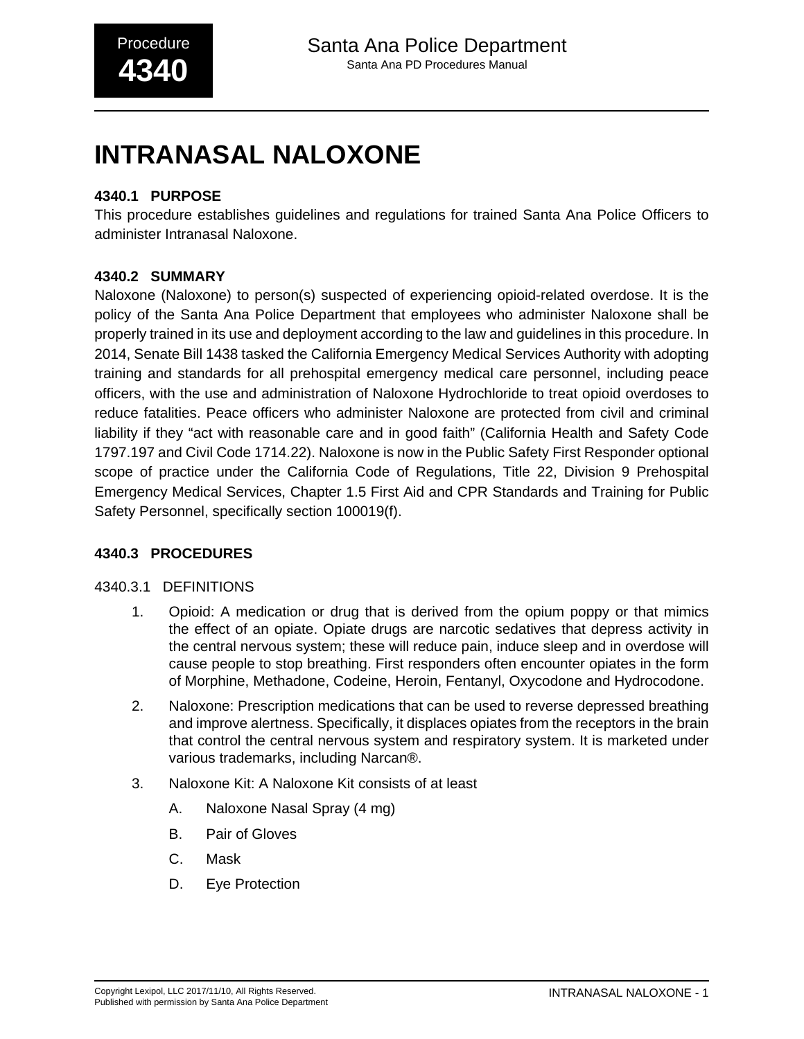# **INTRANASAL NALOXONE**

# **4340.1 PURPOSE**

This procedure establishes guidelines and regulations for trained Santa Ana Police Officers to administer Intranasal Naloxone.

# **4340.2 SUMMARY**

Naloxone (Naloxone) to person(s) suspected of experiencing opioid-related overdose. It is the policy of the Santa Ana Police Department that employees who administer Naloxone shall be properly trained in its use and deployment according to the law and guidelines in this procedure. In 2014, Senate Bill 1438 tasked the California Emergency Medical Services Authority with adopting training and standards for all prehospital emergency medical care personnel, including peace officers, with the use and administration of Naloxone Hydrochloride to treat opioid overdoses to reduce fatalities. Peace officers who administer Naloxone are protected from civil and criminal liability if they "act with reasonable care and in good faith" (California Health and Safety Code 1797.197 and Civil Code 1714.22). Naloxone is now in the Public Safety First Responder optional scope of practice under the California Code of Regulations, Title 22, Division 9 Prehospital Emergency Medical Services, Chapter 1.5 First Aid and CPR Standards and Training for Public Safety Personnel, specifically section 100019(f).

# **4340.3 PROCEDURES**

#### 4340.3.1 DEFINITIONS

- 1. Opioid: A medication or drug that is derived from the opium poppy or that mimics the effect of an opiate. Opiate drugs are narcotic sedatives that depress activity in the central nervous system; these will reduce pain, induce sleep and in overdose will cause people to stop breathing. First responders often encounter opiates in the form of Morphine, Methadone, Codeine, Heroin, Fentanyl, Oxycodone and Hydrocodone.
- 2. Naloxone: Prescription medications that can be used to reverse depressed breathing and improve alertness. Specifically, it displaces opiates from the receptors in the brain that control the central nervous system and respiratory system. It is marketed under various trademarks, including Narcan®.
- 3. Naloxone Kit: A Naloxone Kit consists of at least
	- A. Naloxone Nasal Spray (4 mg)
	- B. Pair of Gloves
	- C. Mask
	- D. Eye Protection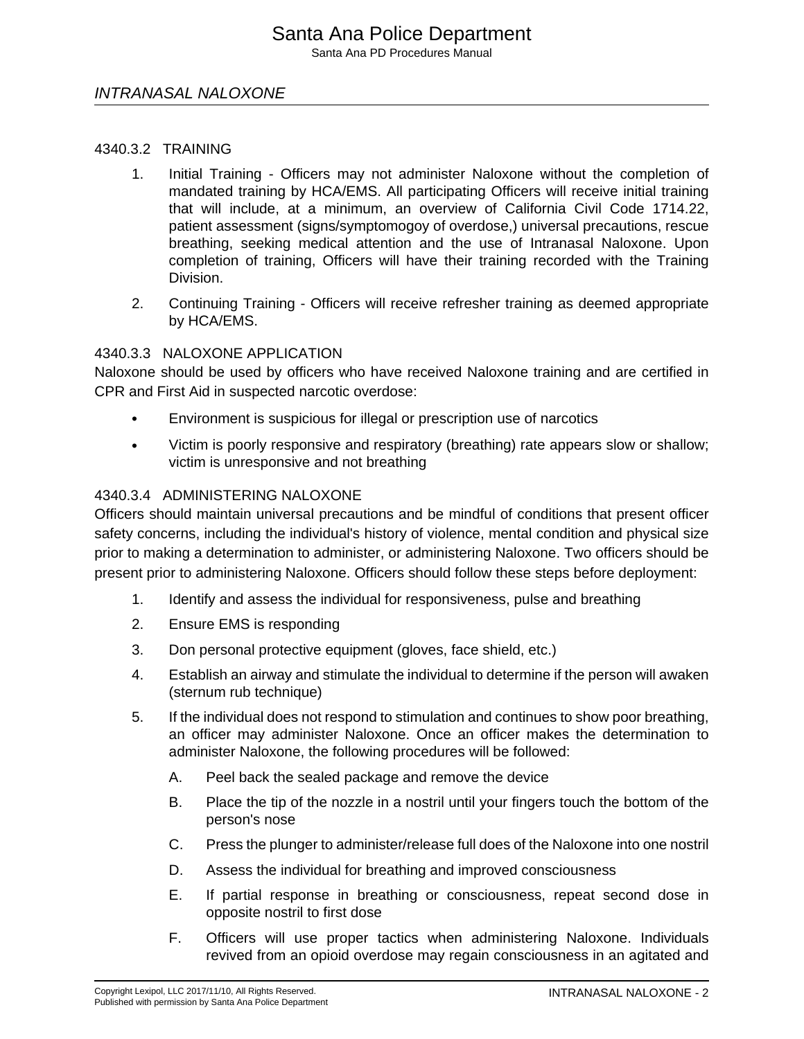# INTRANASAL NALOXONE

#### 4340.3.2 TRAINING

- 1. Initial Training Officers may not administer Naloxone without the completion of mandated training by HCA/EMS. All participating Officers will receive initial training that will include, at a minimum, an overview of California Civil Code 1714.22, patient assessment (signs/symptomogoy of overdose,) universal precautions, rescue breathing, seeking medical attention and the use of Intranasal Naloxone. Upon completion of training, Officers will have their training recorded with the Training Division.
- 2. Continuing Training Officers will receive refresher training as deemed appropriate by HCA/EMS.

#### 4340.3.3 NALOXONE APPLICATION

Naloxone should be used by officers who have received Naloxone training and are certified in CPR and First Aid in suspected narcotic overdose:

- Environment is suspicious for illegal or prescription use of narcotics
- Victim is poorly responsive and respiratory (breathing) rate appears slow or shallow; victim is unresponsive and not breathing

#### 4340.3.4 ADMINISTERING NALOXONE

Officers should maintain universal precautions and be mindful of conditions that present officer safety concerns, including the individual's history of violence, mental condition and physical size prior to making a determination to administer, or administering Naloxone. Two officers should be present prior to administering Naloxone. Officers should follow these steps before deployment:

- 1. Identify and assess the individual for responsiveness, pulse and breathing
- 2. Ensure EMS is responding
- 3. Don personal protective equipment (gloves, face shield, etc.)
- 4. Establish an airway and stimulate the individual to determine if the person will awaken (sternum rub technique)
- 5. If the individual does not respond to stimulation and continues to show poor breathing, an officer may administer Naloxone. Once an officer makes the determination to administer Naloxone, the following procedures will be followed:
	- A. Peel back the sealed package and remove the device
	- B. Place the tip of the nozzle in a nostril until your fingers touch the bottom of the person's nose
	- C. Press the plunger to administer/release full does of the Naloxone into one nostril
	- D. Assess the individual for breathing and improved consciousness
	- E. If partial response in breathing or consciousness, repeat second dose in opposite nostril to first dose
	- F. Officers will use proper tactics when administering Naloxone. Individuals revived from an opioid overdose may regain consciousness in an agitated and